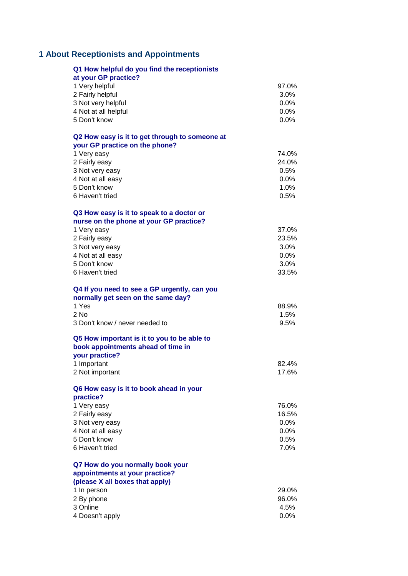# **About Receptionists and Appointments**

| Q1 How helpful do you find the receptionists<br>at your GP practice?                                |                  |
|-----------------------------------------------------------------------------------------------------|------------------|
| 1 Very helpful                                                                                      | 97.0%            |
| 2 Fairly helpful                                                                                    | 3.0%             |
| 3 Not very helpful                                                                                  | $0.0\%$          |
| 4 Not at all helpful                                                                                | 0.0%             |
| 5 Don't know                                                                                        | $0.0\%$          |
| Q2 How easy is it to get through to someone at<br>your GP practice on the phone?                    |                  |
| 1 Very easy                                                                                         | 74.0%            |
| 2 Fairly easy                                                                                       | 24.0%            |
| 3 Not very easy<br>4 Not at all easy                                                                | 0.5%<br>$0.0\%$  |
| 5 Don't know                                                                                        | 1.0%             |
| 6 Haven't tried                                                                                     | 0.5%             |
| Q3 How easy is it to speak to a doctor or                                                           |                  |
| nurse on the phone at your GP practice?                                                             |                  |
| 1 Very easy                                                                                         | 37.0%            |
| 2 Fairly easy                                                                                       | 23.5%<br>$3.0\%$ |
| 3 Not very easy<br>4 Not at all easy                                                                | $0.0\%$          |
| 5 Don't know                                                                                        | $3.0\%$          |
| 6 Haven't tried                                                                                     | 33.5%            |
| Q4 If you need to see a GP urgently, can you<br>normally get seen on the same day?                  |                  |
| 1 Yes                                                                                               | 88.9%            |
| $2$ No                                                                                              | 1.5%             |
| 3 Don't know / never needed to                                                                      | 9.5%             |
| Q5 How important is it to you to be able to<br>book appointments ahead of time in<br>your practice? |                  |
| 1 Important                                                                                         | 82.4%            |
| 2 Not important                                                                                     | 17.6%            |
| Q6 How easy is it to book ahead in your<br>practice?                                                |                  |
| 1 Very easy                                                                                         | 76.0%            |
| 2 Fairly easy                                                                                       | 16.5%            |
| 3 Not very easy                                                                                     | $0.0\%$          |
| 4 Not at all easy                                                                                   | 0.0%             |
| 5 Don't know                                                                                        | 0.5%             |
| 6 Haven't tried                                                                                     | 7.0%             |
| Q7 How do you normally book your                                                                    |                  |
| appointments at your practice?<br>(please X all boxes that apply)                                   |                  |
| 1 In person                                                                                         | 29.0%            |
| 2 By phone                                                                                          | 96.0%            |
| 3 Online                                                                                            | 4.5%             |
| 4 Doesn't apply                                                                                     | $0.0\%$          |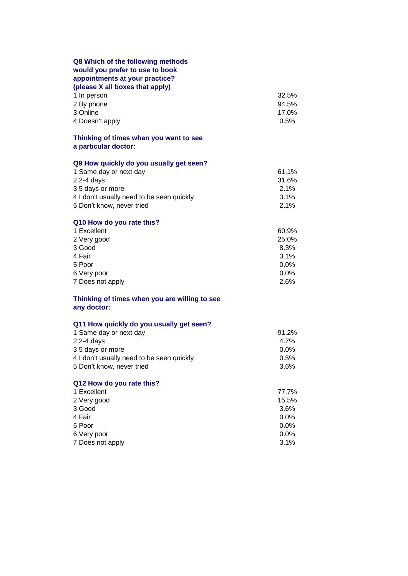| Q8 Which of the following methods<br>would you prefer to use to book<br>appointments at your practice?<br>(please X all boxes that apply)<br>1 In person | 32.5%                  |
|----------------------------------------------------------------------------------------------------------------------------------------------------------|------------------------|
| 2 By phone<br>3 Online<br>4 Doesn't apply                                                                                                                | 94.5%<br>17.0%<br>0.5% |
| Thinking of times when you want to see<br>a particular doctor:                                                                                           |                        |
| Q9 How quickly do you usually get seen?                                                                                                                  |                        |
| 1 Same day or next day                                                                                                                                   | 61.1%                  |
| $22-4$ days<br>35 days or more                                                                                                                           | 31.6%<br>2.1%          |
| 4 I don't usually need to be seen quickly                                                                                                                | 3.1%                   |
| 5 Don't know, never tried                                                                                                                                | 2.1%                   |
| Q10 How do you rate this?                                                                                                                                |                        |
| 1 Excellent                                                                                                                                              | 60.9%<br>25.0%         |
| 2 Very good<br>3 Good                                                                                                                                    | 8.3%                   |
| 4 Fair                                                                                                                                                   | 3.1%                   |
| 5 Poor                                                                                                                                                   | $0.0\%$                |
| 6 Very poor                                                                                                                                              | $0.0\%$                |
| 7 Does not apply                                                                                                                                         | 2.6%                   |
| Thinking of times when you are willing to see<br>any doctor:                                                                                             |                        |
| Q11 How quickly do you usually get seen?                                                                                                                 |                        |
| 1 Same day or next day                                                                                                                                   | 91.2%                  |
| $22-4$ days<br>35 days or more                                                                                                                           | 4.7%<br>$0.0\%$        |
| 4 I don't usually need to be seen quickly                                                                                                                | 0.5%                   |
| 5 Don't know, never tried                                                                                                                                | 3.6%                   |
| Q12 How do you rate this?                                                                                                                                |                        |
| 1 Excellent                                                                                                                                              | 77.7%                  |
| 2 Very good<br>3 Good                                                                                                                                    | 15.5%<br>3.6%          |
| 4 Fair                                                                                                                                                   | $0.0\%$                |
| 5 Poor                                                                                                                                                   | $0.0\%$                |
| 6 Very poor                                                                                                                                              | 0.0%                   |
| 7 Does not apply                                                                                                                                         | 3.1%                   |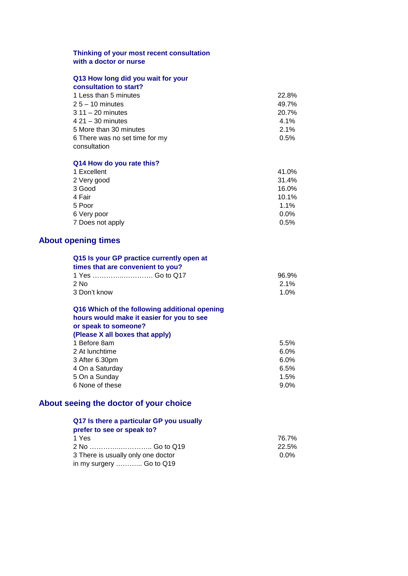#### **Thinking of your most recent consultation with a doctor or nurse**

#### **Q13 How long did you wait for your consultation to start?**

| 1 Less than 5 minutes          | 22.8%   |
|--------------------------------|---------|
| $25 - 10$ minutes              | 49.7%   |
| $311 - 20$ minutes             | 20.7%   |
| $421 - 30$ minutes             | $4.1\%$ |
| 5 More than 30 minutes         | 2.1%    |
| 6 There was no set time for my | 0.5%    |
| consultation                   |         |
|                                |         |

#### **Q14 How do you rate this?**

| 1 Excellent      | 41.0%   |
|------------------|---------|
| 2 Very good      | 31.4%   |
| 3 Good           | 16.0%   |
| 4 Fair           | 10.1%   |
| 5 Poor           | 1.1%    |
| 6 Very poor      | $0.0\%$ |
| 7 Does not apply | $0.5\%$ |
|                  |         |

## **About opening times**

|              | Q15 Is your GP practice currently open at<br>times that are convenient to you? |         |
|--------------|--------------------------------------------------------------------------------|---------|
|              |                                                                                | 96.9%   |
| $2$ No       |                                                                                | $2.1\%$ |
| 3 Don't know |                                                                                | $1.0\%$ |
|              |                                                                                |         |

| Q16 Which of the following additional opening |      |
|-----------------------------------------------|------|
| hours would make it easier for you to see     |      |
| or speak to someone?                          |      |
| (Please X all boxes that apply)               |      |
| 1 Before 8am                                  | 5.5% |
| 2 At lunchtime                                | 6.0% |
| 3 After 6.30pm                                | 6.0% |
| 4 On a Saturday                               | 6.5% |
| 5 On a Sunday                                 | 1.5% |
| 6 None of these                               | 9.0% |
|                                               |      |

## **About seeing the doctor of your choice**

## **Q17 Is there a particular GP you usually**

| prefer to see or speak to?         |       |
|------------------------------------|-------|
| 1 Yes                              | 76.7% |
|                                    | 22.5% |
| 3 There is usually only one doctor | 0.0%  |
| in my surgery  Go to Q19           |       |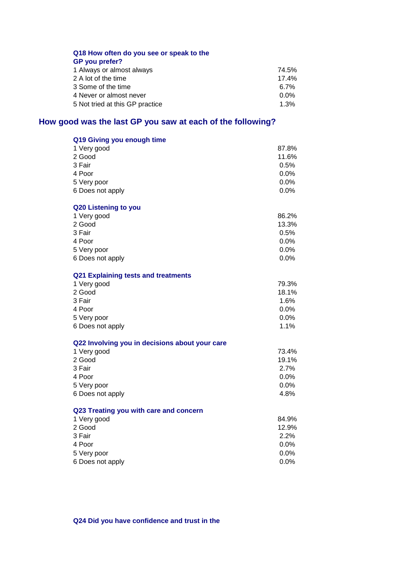### **Q18 How often do you see or speak to the GP you prefer?**

| 1 Always or almost always       | 74.5%   |
|---------------------------------|---------|
| 2 A lot of the time             | 17.4%   |
| 3 Some of the time              | 6.7%    |
| 4 Never or almost never         | 0.0%    |
| 5 Not tried at this GP practice | $1.3\%$ |

## **How good was the last GP you saw at each of the following?**

| Q19 Giving you enough time                     |         |
|------------------------------------------------|---------|
| 1 Very good                                    | 87.8%   |
| 2 Good                                         | 11.6%   |
| 3 Fair                                         | 0.5%    |
| 4 Poor                                         | $0.0\%$ |
| 5 Very poor                                    | $0.0\%$ |
| 6 Does not apply                               | 0.0%    |
| Q20 Listening to you                           |         |
| 1 Very good                                    | 86.2%   |
| 2 Good                                         | 13.3%   |
| 3 Fair                                         | 0.5%    |
| 4 Poor                                         | 0.0%    |
| 5 Very poor                                    | 0.0%    |
| 6 Does not apply                               | 0.0%    |
| Q21 Explaining tests and treatments            |         |
| 1 Very good                                    | 79.3%   |
| 2 Good                                         | 18.1%   |
| 3 Fair                                         | 1.6%    |
| 4 Poor                                         | $0.0\%$ |
| 5 Very poor                                    | 0.0%    |
| 6 Does not apply                               | 1.1%    |
| Q22 Involving you in decisions about your care |         |
| 1 Very good                                    | 73.4%   |
| 2 Good                                         | 19.1%   |
| 3 Fair                                         | 2.7%    |
| 4 Poor                                         | 0.0%    |
| 5 Very poor                                    | 0.0%    |
| 6 Does not apply                               | 4.8%    |
| Q23 Treating you with care and concern         |         |
| 1 Very good                                    | 84.9%   |
| 2 Good                                         | 12.9%   |
| 3 Fair                                         | 2.2%    |
| 4 Poor                                         | $0.0\%$ |
| 5 Very poor                                    | 0.0%    |
| 6 Does not apply                               | 0.0%    |

**Q24 Did you have confidence and trust in the**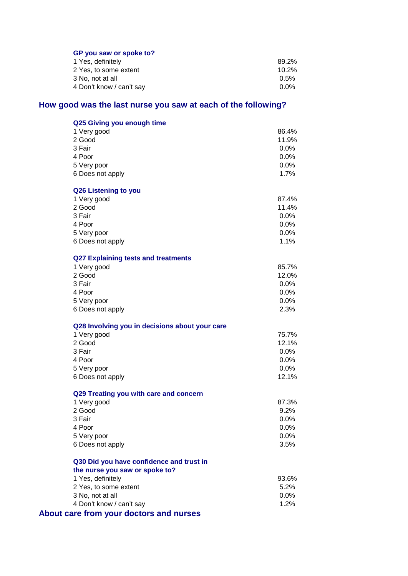### **GP you saw or spoke to?**

| 89.2%   |
|---------|
| 10.2%   |
| $0.5\%$ |
| $0.0\%$ |
|         |

# **How good was the last nurse you saw at each of the following?**

| Q25 Giving you enough time                                                 |                 |
|----------------------------------------------------------------------------|-----------------|
| 1 Very good                                                                | 86.4%           |
| 2 Good                                                                     | 11.9%           |
| 3 Fair                                                                     | 0.0%            |
| 4 Poor                                                                     | 0.0%            |
| 5 Very poor                                                                | 0.0%            |
| 6 Does not apply                                                           | 1.7%            |
| Q26 Listening to you                                                       |                 |
| 1 Very good                                                                | 87.4%           |
| 2 Good                                                                     | 11.4%           |
| 3 Fair                                                                     | 0.0%            |
| 4 Poor                                                                     | 0.0%            |
| 5 Very poor                                                                | $0.0\%$         |
| 6 Does not apply                                                           | 1.1%            |
| <b>Q27 Explaining tests and treatments</b>                                 |                 |
| 1 Very good                                                                | 85.7%           |
| 2 Good                                                                     | 12.0%           |
| 3 Fair                                                                     | 0.0%            |
| 4 Poor                                                                     | 0.0%            |
| 5 Very poor                                                                | 0.0%            |
| 6 Does not apply                                                           | 2.3%            |
| Q28 Involving you in decisions about your care                             |                 |
| 1 Very good                                                                | 75.7%           |
| 2 Good                                                                     | 12.1%           |
| 3 Fair                                                                     | $0.0\%$         |
| 4 Poor                                                                     | 0.0%            |
| 5 Very poor                                                                | $0.0\%$         |
| 6 Does not apply                                                           | 12.1%           |
| Q29 Treating you with care and concern                                     |                 |
| 1 Very good                                                                | 87.3%           |
| 2 Good                                                                     | 9.2%            |
| 3 Fair                                                                     | 0.0%            |
| 4 Poor                                                                     | 0.0%            |
| 5 Very poor<br>6 Does not apply                                            | $0.0\%$<br>3.5% |
|                                                                            |                 |
| Q30 Did you have confidence and trust in<br>the nurse you saw or spoke to? |                 |
| 1 Yes, definitely                                                          | 93.6%           |
| 2 Yes, to some extent                                                      | 5.2%            |
| 3 No, not at all                                                           | $0.0\%$         |
| 4 Don't know / can't say                                                   | 1.2%            |
| About care from your doctors and nurses                                    |                 |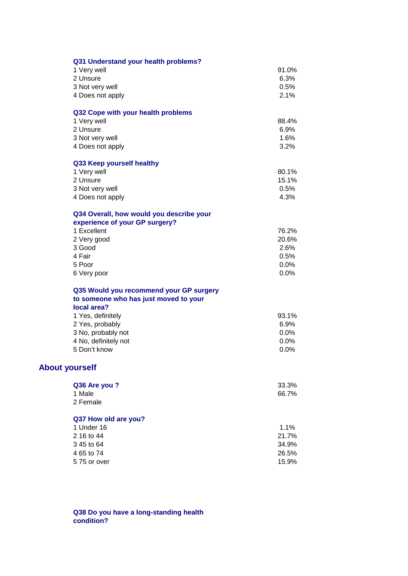|                       | Q31 Understand your health problems?     |         |
|-----------------------|------------------------------------------|---------|
|                       | 1 Very well                              | 91.0%   |
|                       | 2 Unsure                                 | 6.3%    |
|                       | 3 Not very well                          | 0.5%    |
|                       | 4 Does not apply                         | 2.1%    |
|                       | Q32 Cope with your health problems       |         |
|                       | 1 Very well                              | 88.4%   |
|                       | 2 Unsure                                 | 6.9%    |
|                       | 3 Not very well                          | 1.6%    |
|                       | 4 Does not apply                         | 3.2%    |
|                       | Q33 Keep yourself healthy                |         |
|                       | 1 Very well                              | 80.1%   |
|                       | 2 Unsure                                 | 15.1%   |
|                       | 3 Not very well                          | 0.5%    |
|                       | 4 Does not apply                         | 4.3%    |
|                       | Q34 Overall, how would you describe your |         |
|                       | experience of your GP surgery?           |         |
|                       | 1 Excellent                              | 76.2%   |
|                       | 2 Very good                              | 20.6%   |
|                       | 3 Good                                   | 2.6%    |
|                       | 4 Fair                                   | 0.5%    |
|                       | 5 Poor                                   | 0.0%    |
|                       | 6 Very poor                              | 0.0%    |
|                       | Q35 Would you recommend your GP surgery  |         |
|                       | to someone who has just moved to your    |         |
|                       | local area?                              |         |
|                       | 1 Yes, definitely                        | 93.1%   |
|                       | 2 Yes, probably                          | 6.9%    |
|                       | 3 No, probably not                       | $0.0\%$ |
|                       | 4 No, definitely not                     | 0.0%    |
|                       | 5 Don't know                             | 0.0%    |
| <b>About yourself</b> |                                          |         |
|                       | Q36 Are you ?                            | 33.3%   |
|                       | 1 Male                                   | 66.7%   |
|                       | 2 Female                                 |         |
|                       | Q37 How old are you?                     |         |
|                       | 1 Under 16                               | 1.1%    |
|                       | 2 16 to 44                               | 21.7%   |
|                       | 3 45 to 64                               | 34.9%   |
|                       | 4 65 to 74                               | 26.5%   |
|                       | 575 or over                              | 15.9%   |
|                       |                                          |         |

**Q38 Do you have a long-standing health condition?**